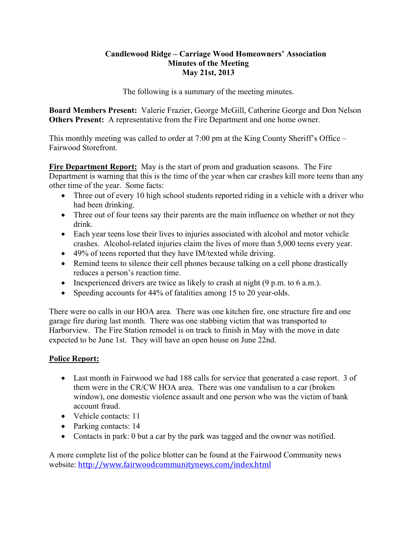### **Candlewood Ridge – Carriage Wood Homeowners' Association Minutes of the Meeting May 21st, 2013**

The following is a summary of the meeting minutes.

**Board Members Present:** Valerie Frazier, George McGill, Catherine George and Don Nelson **Others Present:** A representative from the Fire Department and one home owner.

This monthly meeting was called to order at 7:00 pm at the King County Sheriff's Office – Fairwood Storefront.

**Fire Department Report:** May is the start of prom and graduation seasons. The Fire Department is warning that this is the time of the year when car crashes kill more teens than any other time of the year. Some facts:

- Three out of every 10 high school students reported riding in a vehicle with a driver who had been drinking.
- Three out of four teens say their parents are the main influence on whether or not they drink.
- Each year teens lose their lives to injuries associated with alcohol and motor vehicle crashes. Alcohol-related injuries claim the lives of more than 5,000 teens every year.
- 49% of teens reported that they have IM/texted while driving.
- Remind teens to silence their cell phones because talking on a cell phone drastically reduces a person's reaction time.
- Inexperienced drivers are twice as likely to crash at night  $(9 \text{ p.m. to } 6 \text{ a.m.})$ .
- Speeding accounts for 44% of fatalities among 15 to 20 year-olds.

There were no calls in our HOA area. There was one kitchen fire, one structure fire and one garage fire during last month. There was one stabbing victim that was transported to Harborview. The Fire Station remodel is on track to finish in May with the move in date expected to be June 1st. They will have an open house on June 22nd.

# **Police Report:**

- Last month in Fairwood we had 188 calls for service that generated a case report. 3 of them were in the CR/CW HOA area. There was one vandalism to a car (broken window), one domestic violence assault and one person who was the victim of bank account fraud.
- Vehicle contacts: 11
- Parking contacts: 14
- Contacts in park: 0 but a car by the park was tagged and the owner was notified.

A more complete list of the police blotter can be found at the Fairwood Community news website: http://www.fairwoodcommunitynews.com/index.html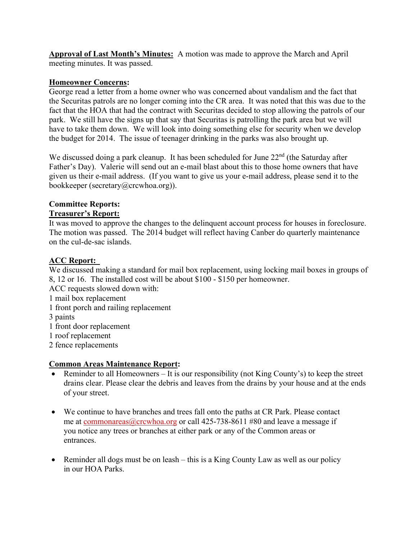**Approval of Last Month's Minutes:** A motion was made to approve the March and April meeting minutes. It was passed.

### **Homeowner Concerns:**

George read a letter from a home owner who was concerned about vandalism and the fact that the Securitas patrols are no longer coming into the CR area. It was noted that this was due to the fact that the HOA that had the contract with Securitas decided to stop allowing the patrols of our park. We still have the signs up that say that Securitas is patrolling the park area but we will have to take them down. We will look into doing something else for security when we develop the budget for 2014. The issue of teenager drinking in the parks was also brought up.

We discussed doing a park cleanup. It has been scheduled for June  $22<sup>nd</sup>$  (the Saturday after Father's Day). Valerie will send out an e-mail blast about this to those home owners that have given us their e-mail address. (If you want to give us your e-mail address, please send it to the bookkeeper (secretary@crcwhoa.org)).

#### **Committee Reports: Treasurer's Report:**

It was moved to approve the changes to the delinquent account process for houses in foreclosure. The motion was passed. The 2014 budget will reflect having Canber do quarterly maintenance on the cul-de-sac islands.

### **ACC Report:**

We discussed making a standard for mail box replacement, using locking mail boxes in groups of 8, 12 or 16. The installed cost will be about \$100 - \$150 per homeowner.

- ACC requests slowed down with:
- 1 mail box replacement
- 1 front porch and railing replacement
- 3 paints
- 1 front door replacement
- 1 roof replacement
- 2 fence replacements

# **Common Areas Maintenance Report:**

- Reminder to all Homeowners It is our responsibility (not King County's) to keep the street drains clear. Please clear the debris and leaves from the drains by your house and at the ends of your street.
- We continue to have branches and trees fall onto the paths at CR Park. Please contact me at commonareas@crcwhoa.org or call 425-738-8611 #80 and leave a message if you notice any trees or branches at either park or any of the Common areas or entrances.
- Reminder all dogs must be on leash this is a King County Law as well as our policy in our HOA Parks.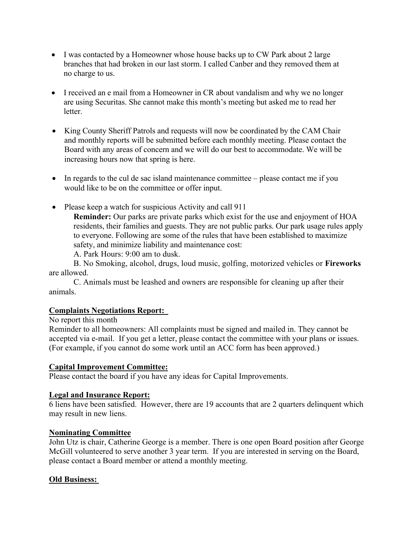- I was contacted by a Homeowner whose house backs up to CW Park about 2 large branches that had broken in our last storm. I called Canber and they removed them at no charge to us.
- I received an e mail from a Homeowner in CR about vandalism and why we no longer are using Securitas. She cannot make this month's meeting but asked me to read her letter.
- King County Sheriff Patrols and requests will now be coordinated by the CAM Chair and monthly reports will be submitted before each monthly meeting. Please contact the Board with any areas of concern and we will do our best to accommodate. We will be increasing hours now that spring is here.
- In regards to the cul de sac island maintenance committee please contact me if you would like to be on the committee or offer input.
- Please keep a watch for suspicious Activity and call 911

**Reminder:** Our parks are private parks which exist for the use and enjoyment of HOA residents, their families and guests. They are not public parks. Our park usage rules apply to everyone. Following are some of the rules that have been established to maximize safety, and minimize liability and maintenance cost:

A. Park Hours: 9:00 am to dusk.

B. No Smoking, alcohol, drugs, loud music, golfing, motorized vehicles or **Fireworks**  are allowed.

C. Animals must be leashed and owners are responsible for cleaning up after their animals.

# **Complaints Negotiations Report:**

No report this month

Reminder to all homeowners: All complaints must be signed and mailed in. They cannot be accepted via e-mail. If you get a letter, please contact the committee with your plans or issues. (For example, if you cannot do some work until an ACC form has been approved.)

# **Capital Improvement Committee:**

Please contact the board if you have any ideas for Capital Improvements.

#### **Legal and Insurance Report:**

6 liens have been satisfied. However, there are 19 accounts that are 2 quarters delinquent which may result in new liens.

#### **Nominating Committee**

John Utz is chair, Catherine George is a member. There is one open Board position after George McGill volunteered to serve another 3 year term. If you are interested in serving on the Board, please contact a Board member or attend a monthly meeting.

#### **Old Business:**